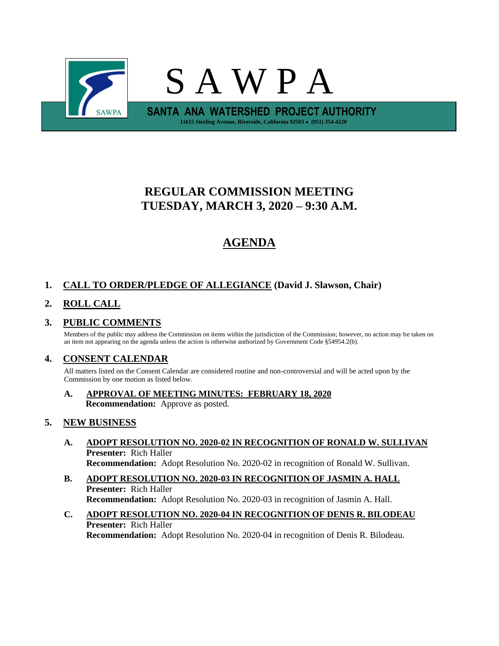

# **REGULAR COMMISSION MEETING TUESDAY, MARCH 3, 2020 – 9:30 A.M.**

# **AGENDA**

## **1. CALL TO ORDER/PLEDGE OF ALLEGIANCE (David J. Slawson, Chair)**

## **2. ROLL CALL**

### **3. PUBLIC COMMENTS**

Members of the public may address the Commission on items within the jurisdiction of the Commission; however, no action may be taken on an item not appearing on the agenda unless the action is otherwise authorized by Government Code §54954.2(b).

#### **4. CONSENT CALENDAR**

All matters listed on the Consent Calendar are considered routine and non-controversial and will be acted upon by the Commission by one motion as listed below.

#### **A. APPROVAL OF MEETING MINUTES: FEBRUARY 18, 2020 Recommendation:** Approve as posted.

#### **5. NEW BUSINESS**

- **A. ADOPT RESOLUTION NO. 2020-02 IN RECOGNITION OF RONALD W. SULLIVAN Presenter:** Rich Haller **Recommendation:** Adopt Resolution No. 2020-02 in recognition of Ronald W. Sullivan.
- **B. ADOPT RESOLUTION NO. 2020-03 IN RECOGNITION OF JASMIN A. HALL Presenter:** Rich Haller **Recommendation:** Adopt Resolution No. 2020-03 in recognition of Jasmin A. Hall.
- **C. ADOPT RESOLUTION NO. 2020-04 IN RECOGNITION OF DENIS R. BILODEAU Presenter:** Rich Haller **Recommendation:** Adopt Resolution No. 2020-04 in recognition of Denis R. Bilodeau.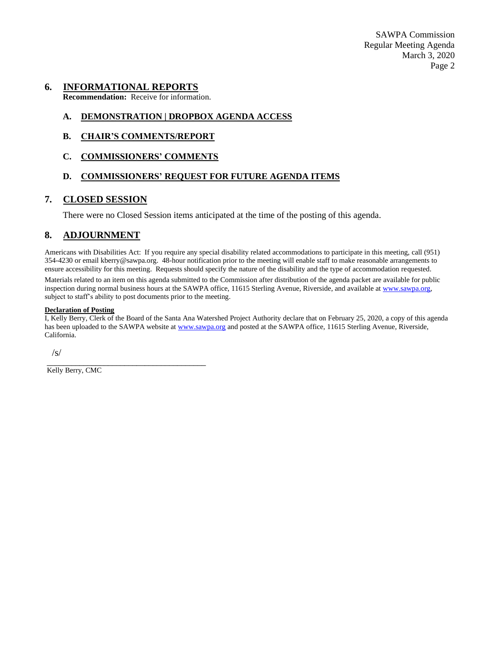SAWPA Commission Regular Meeting Agenda March 3, 2020 Page 2

#### **6. INFORMATIONAL REPORTS**

**Recommendation:** Receive for information.

#### **A. DEMONSTRATION | DROPBOX AGENDA ACCESS**

**B. CHAIR'S COMMENTS/REPORT**

#### **C. COMMISSIONERS' COMMENTS**

#### **D. COMMISSIONERS' REQUEST FOR FUTURE AGENDA ITEMS**

#### **7. CLOSED SESSION**

There were no Closed Session items anticipated at the time of the posting of this agenda.

### **8. ADJOURNMENT**

Americans with Disabilities Act: If you require any special disability related accommodations to participate in this meeting, call (951) 354-4230 or email kberry@sawpa.org. 48-hour notification prior to the meeting will enable staff to make reasonable arrangements to ensure accessibility for this meeting. Requests should specify the nature of the disability and the type of accommodation requested.

Materials related to an item on this agenda submitted to the Commission after distribution of the agenda packet are available for public inspection during normal business hours at the SAWPA office, 11615 Sterling Avenue, Riverside, and available a[t www.sawpa.org,](http://www.sawpa.org/) subject to staff's ability to post documents prior to the meeting.

#### **Declaration of Posting**

I, Kelly Berry, Clerk of the Board of the Santa Ana Watershed Project Authority declare that on February 25, 2020, a copy of this agenda has been uploaded to the SAWPA website a[t www.sawpa.org](http://www.sawpa.org/) and posted at the SAWPA office, 11615 Sterling Avenue, Riverside, California.

 $\sqrt{s}$ 

\_\_\_\_\_\_\_\_\_\_\_\_\_\_\_\_\_\_\_\_\_\_\_\_\_\_\_\_\_\_\_\_\_\_\_\_\_\_\_ Kelly Berry, CMC